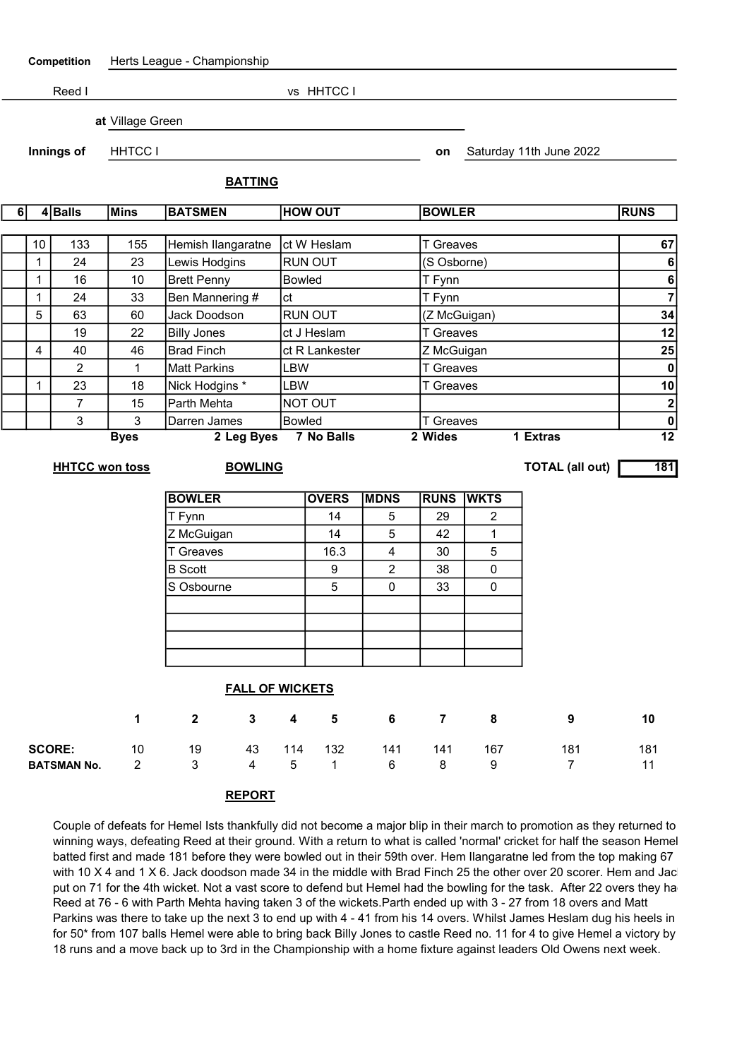| Competition            |                | Herts League - Championship |                                          |                                  |                |                |                         |                         |                  |                  |                         |                                  |  |  |
|------------------------|----------------|-----------------------------|------------------------------------------|----------------------------------|----------------|----------------|-------------------------|-------------------------|------------------|------------------|-------------------------|----------------------------------|--|--|
|                        |                | Reed I                      |                                          |                                  |                |                | vs HHTCC I              |                         |                  |                  |                         |                                  |  |  |
| at Village Green       |                |                             |                                          |                                  |                |                |                         |                         |                  |                  |                         |                                  |  |  |
|                        |                |                             |                                          |                                  |                |                |                         |                         |                  |                  |                         |                                  |  |  |
| Innings of             |                |                             | <b>HHTCC I</b>                           |                                  |                |                |                         |                         |                  |                  | Saturday 11th June 2022 |                                  |  |  |
|                        |                |                             |                                          |                                  | <b>BATTING</b> |                |                         |                         |                  |                  |                         |                                  |  |  |
| 6                      |                | 4Balls                      | Mins                                     | <b>HOW OUT</b><br><b>BATSMEN</b> |                |                |                         |                         |                  | <b>BOWLER</b>    |                         |                                  |  |  |
|                        |                |                             |                                          |                                  |                |                |                         |                         |                  |                  |                         |                                  |  |  |
|                        | 10             | 133                         | 155                                      | Hemish Ilangaratne               |                |                | ct W Heslam             |                         |                  | <b>T</b> Greaves |                         |                                  |  |  |
|                        | $\mathbf 1$    | 24                          | 23                                       | Lewis Hodgins                    |                |                | RUN OUT                 |                         |                  | (S Osborne)      |                         |                                  |  |  |
|                        | 1              | 16                          | 10                                       | <b>Brett Penny</b>               |                | <b>Bowled</b>  |                         |                         | T Fynn           |                  |                         |                                  |  |  |
|                        | $\mathbf 1$    | 24                          | 33                                       | Ben Mannering #                  | ct             |                |                         |                         | T Fynn           |                  |                         |                                  |  |  |
|                        | 5              | 63                          | 60                                       | Jack Doodson                     |                | <b>RUN OUT</b> |                         |                         | (Z McGuigan)     |                  |                         |                                  |  |  |
| 19                     |                |                             | 22                                       | <b>Billy Jones</b>               |                | ct J Heslam    |                         |                         | <b>T</b> Greaves |                  |                         |                                  |  |  |
|                        | $\overline{4}$ | 40                          | 46                                       | <b>Brad Finch</b>                |                |                | ct R Lankester          |                         |                  | Z McGuigan       |                         |                                  |  |  |
|                        |                | $\overline{2}$              | 1                                        | <b>Matt Parkins</b>              |                |                | <b>LBW</b>              |                         |                  | <b>T</b> Greaves | $\mathbf 0$             |                                  |  |  |
|                        | 1              | 23                          | 18                                       | Nick Hodgins *                   |                |                | LBW<br><b>T</b> Greaves |                         |                  |                  | 10                      |                                  |  |  |
|                        |                | $\overline{7}$              | 15                                       | Parth Mehta                      |                | NOT OUT        |                         |                         |                  |                  |                         |                                  |  |  |
|                        |                | 3                           | 3                                        | Darren James                     |                | <b>Bowled</b>  |                         |                         | <b>T</b> Greaves |                  |                         | $\overline{2}$<br>$\frac{0}{12}$ |  |  |
|                        |                |                             | <b>Byes</b>                              |                                  | 2 Leg Byes     |                | <b>7 No Balls</b>       |                         | 2 Wides          |                  | 1 Extras                |                                  |  |  |
|                        |                | <b>HHTCC won toss</b>       | <b>TOTAL (all out)</b><br><b>BOWLING</b> |                                  |                |                |                         |                         |                  |                  |                         | 181                              |  |  |
|                        |                |                             |                                          |                                  |                |                |                         |                         |                  |                  |                         |                                  |  |  |
|                        |                |                             |                                          | <b>BOWLER</b>                    |                |                | <b>OVERS</b>            | <b>MDNS</b>             | <b>RUNS</b>      | <b>WKTS</b>      |                         |                                  |  |  |
|                        |                |                             |                                          | T Fynn                           |                |                | 14                      | 5                       | 29               | 2                |                         |                                  |  |  |
|                        |                |                             |                                          | Z McGuigan                       |                |                | 14                      | 5                       | 42               | 1                |                         |                                  |  |  |
|                        |                |                             |                                          | <b>T</b> Greaves                 |                |                | 16.3                    | $\overline{\mathbf{4}}$ | 30               | 5                |                         |                                  |  |  |
|                        |                |                             |                                          | <b>B</b> Scott                   |                |                | $\boldsymbol{9}$        | $\overline{2}$          | 38               | $\pmb{0}$        |                         |                                  |  |  |
|                        |                |                             |                                          | S Osbourne                       |                |                | 5                       | 0                       | 33               | 0                |                         |                                  |  |  |
|                        |                |                             |                                          |                                  |                |                |                         |                         |                  |                  |                         |                                  |  |  |
|                        |                |                             |                                          |                                  |                |                |                         |                         |                  |                  |                         |                                  |  |  |
|                        |                |                             |                                          |                                  |                |                |                         |                         |                  |                  |                         |                                  |  |  |
|                        |                |                             |                                          |                                  |                |                |                         |                         |                  |                  |                         |                                  |  |  |
| <b>FALL OF WICKETS</b> |                |                             |                                          |                                  |                |                |                         |                         |                  |                  |                         |                                  |  |  |
|                        |                |                             | 1                                        | $\mathbf{2}$                     | 3              | 4              | 5                       | 6                       | $\overline{7}$   | 8                | 9                       | 10                               |  |  |
|                        | <b>SCORE:</b>  |                             | 10                                       | 19                               | 43             | 114            | 132                     | 141                     | 141              | 167              | 181                     | 181                              |  |  |
| <b>BATSMAN No.</b>     |                |                             | $\overline{2}$                           | 3                                | $\overline{4}$ | 5              | 1                       | 6                       | 8                | 9                | $\overline{7}$          | 11                               |  |  |
|                        |                |                             |                                          |                                  |                |                |                         |                         |                  |                  |                         |                                  |  |  |

REPORT

Couple of defeats for Hemel Ists thankfully did not become a major blip in their march to promotion as they returned to winning ways, defeating Reed at their ground. With a return to what is called 'normal' cricket for half the season Hemel batted first and made 181 before they were bowled out in their 59th over. Hem Ilangaratne led from the top making 67 with 10 X 4 and 1 X 6. Jack doodson made 34 in the middle with Brad Finch 25 the other over 20 scorer. Hem and Jac put on 71 for the 4th wicket. Not a vast score to defend but Hemel had the bowling for the task. After 22 overs they ha Reed at 76 - 6 with Parth Mehta having taken 3 of the wickets.Parth ended up with 3 - 27 from 18 overs and Matt Parkins was there to take up the next 3 to end up with 4 - 41 from his 14 overs. Whilst James Heslam dug his heels in for 50\* from 107 balls Hemel were able to bring back Billy Jones to castle Reed no. 11 for 4 to give Hemel a victory by 18 runs and a move back up to 3rd in the Championship with a home fixture against leaders Old Owens next week.